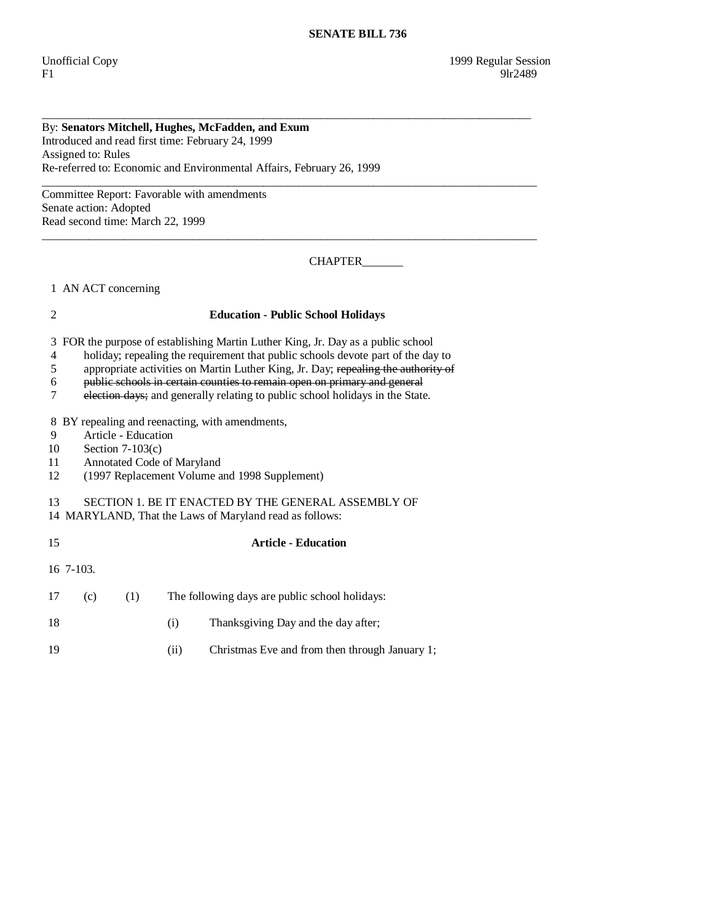## By: **Senators Mitchell, Hughes, McFadden, and Exum**  Introduced and read first time: February 24, 1999 Assigned to: Rules Re-referred to: Economic and Environmental Affairs, February 26, 1999

 $\_$  ,  $\_$  ,  $\_$  ,  $\_$  ,  $\_$  ,  $\_$  ,  $\_$  ,  $\_$  ,  $\_$  ,  $\_$  ,  $\_$  ,  $\_$  ,  $\_$  ,  $\_$  ,  $\_$  ,  $\_$  ,  $\_$  ,  $\_$  ,  $\_$  ,  $\_$  ,  $\_$  ,  $\_$  ,  $\_$  ,  $\_$  ,  $\_$  ,  $\_$  ,  $\_$  ,  $\_$  ,  $\_$  ,  $\_$  ,  $\_$  ,  $\_$  ,  $\_$  ,  $\_$  ,  $\_$  ,  $\_$  ,  $\_$  , Committee Report: Favorable with amendments Senate action: Adopted Read second time: March 22, 1999

CHAPTER\_\_\_\_\_\_\_\_\_

1 AN ACT concerning

## 2 **Education - Public School Holidays**

 $\_$  ,  $\_$  ,  $\_$  ,  $\_$  ,  $\_$  ,  $\_$  ,  $\_$  ,  $\_$  ,  $\_$  ,  $\_$  ,  $\_$  ,  $\_$  ,  $\_$  ,  $\_$  ,  $\_$  ,  $\_$  ,  $\_$  ,  $\_$  ,  $\_$  ,  $\_$  ,  $\_$  ,  $\_$  ,  $\_$  ,  $\_$  ,  $\_$  ,  $\_$  ,  $\_$  ,  $\_$  ,  $\_$  ,  $\_$  ,  $\_$  ,  $\_$  ,  $\_$  ,  $\_$  ,  $\_$  ,  $\_$  ,  $\_$  ,

\_\_\_\_\_\_\_\_\_\_\_\_\_\_\_\_\_\_\_\_\_\_\_\_\_\_\_\_\_\_\_\_\_\_\_\_\_\_\_\_\_\_\_\_\_\_\_\_\_\_\_\_\_\_\_\_\_\_\_\_\_\_\_\_\_\_\_\_\_\_\_\_\_\_\_\_\_\_\_\_\_\_\_\_

3 FOR the purpose of establishing Martin Luther King, Jr. Day as a public school

4 holiday; repealing the requirement that public schools devote part of the day to

5 appropriate activities on Martin Luther King, Jr. Day; repealing the authority of

6 public schools in certain counties to remain open on primary and general

7 election days; and generally relating to public school holidays in the State.

8 BY repealing and reenacting, with amendments,

9 Article - Education<br>10 Section 7-103(c)

Section  $7-103(c)$ 

11 Annotated Code of Maryland<br>12 (1997 Replacement Volume a

12 (1997 Replacement Volume and 1998 Supplement)

## 13 SECTION 1. BE IT ENACTED BY THE GENERAL ASSEMBLY OF

14 MARYLAND, That the Laws of Maryland read as follows:

| 15 |              |     | <b>Article - Education</b>                            |  |  |  |
|----|--------------|-----|-------------------------------------------------------|--|--|--|
|    | $16\,7-103.$ |     |                                                       |  |  |  |
| 17 | (c)          | (1) | The following days are public school holidays:        |  |  |  |
| 18 |              |     | Thanksgiving Day and the day after;<br>(i)            |  |  |  |
| 19 |              |     | Christmas Eve and from then through January 1;<br>(i) |  |  |  |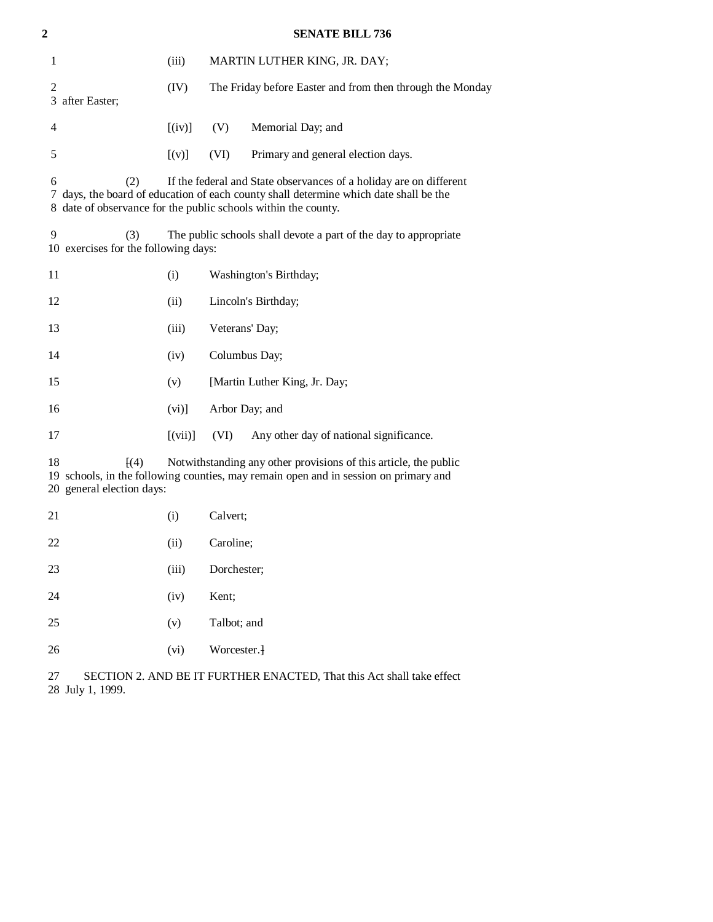| $\mathbf{2}$                                                                                                                                                                                                        |                                                                                                                                                                                                                                           | <b>SENATE BILL 736</b> |                |                                                           |  |  |  |
|---------------------------------------------------------------------------------------------------------------------------------------------------------------------------------------------------------------------|-------------------------------------------------------------------------------------------------------------------------------------------------------------------------------------------------------------------------------------------|------------------------|----------------|-----------------------------------------------------------|--|--|--|
| $\mathbf{1}$                                                                                                                                                                                                        |                                                                                                                                                                                                                                           | (iii)                  |                | MARTIN LUTHER KING, JR. DAY;                              |  |  |  |
| $\overline{2}$                                                                                                                                                                                                      | 3 after Easter;                                                                                                                                                                                                                           | (IV)                   |                | The Friday before Easter and from then through the Monday |  |  |  |
| 4                                                                                                                                                                                                                   |                                                                                                                                                                                                                                           | $[$ (iv)]              | (V)            | Memorial Day; and                                         |  |  |  |
| 5                                                                                                                                                                                                                   |                                                                                                                                                                                                                                           | [(v)]                  | (VI)           | Primary and general election days.                        |  |  |  |
|                                                                                                                                                                                                                     | 6<br>(2)<br>If the federal and State observances of a holiday are on different<br>7 days, the board of education of each county shall determine which date shall be the<br>8 date of observance for the public schools within the county. |                        |                |                                                           |  |  |  |
|                                                                                                                                                                                                                     | 9<br>(3)<br>The public schools shall devote a part of the day to appropriate<br>10 exercises for the following days:                                                                                                                      |                        |                |                                                           |  |  |  |
| 11                                                                                                                                                                                                                  |                                                                                                                                                                                                                                           | (i)                    |                | Washington's Birthday;                                    |  |  |  |
| 12                                                                                                                                                                                                                  |                                                                                                                                                                                                                                           | (ii)                   |                | Lincoln's Birthday;                                       |  |  |  |
| 13                                                                                                                                                                                                                  |                                                                                                                                                                                                                                           | (iii)                  | Veterans' Day; |                                                           |  |  |  |
| 14                                                                                                                                                                                                                  |                                                                                                                                                                                                                                           | (iv)                   | Columbus Day;  |                                                           |  |  |  |
| 15                                                                                                                                                                                                                  |                                                                                                                                                                                                                                           | (v)                    |                | [Martin Luther King, Jr. Day;                             |  |  |  |
| 16                                                                                                                                                                                                                  |                                                                                                                                                                                                                                           | (vi)]                  | Arbor Day; and |                                                           |  |  |  |
| 17                                                                                                                                                                                                                  |                                                                                                                                                                                                                                           | [(vii)]                | (VI)           | Any other day of national significance.                   |  |  |  |
| Notwithstanding any other provisions of this article, the public<br>18<br>$\left[ (4) \right]$<br>19 schools, in the following counties, may remain open and in session on primary and<br>20 general election days: |                                                                                                                                                                                                                                           |                        |                |                                                           |  |  |  |
| 21                                                                                                                                                                                                                  |                                                                                                                                                                                                                                           | (i)                    | Calvert;       |                                                           |  |  |  |
| 22                                                                                                                                                                                                                  |                                                                                                                                                                                                                                           | (ii)                   | Caroline;      |                                                           |  |  |  |
| 23                                                                                                                                                                                                                  |                                                                                                                                                                                                                                           | (iii)                  | Dorchester;    |                                                           |  |  |  |
| 24                                                                                                                                                                                                                  |                                                                                                                                                                                                                                           | (iv)                   | Kent;          |                                                           |  |  |  |
| 25                                                                                                                                                                                                                  |                                                                                                                                                                                                                                           | (v)                    | Talbot; and    |                                                           |  |  |  |
| 26                                                                                                                                                                                                                  |                                                                                                                                                                                                                                           | (vi)                   | Worcester.     |                                                           |  |  |  |
|                                                                                                                                                                                                                     |                                                                                                                                                                                                                                           |                        |                |                                                           |  |  |  |

 27 SECTION 2. AND BE IT FURTHER ENACTED, That this Act shall take effect 28 July 1, 1999.